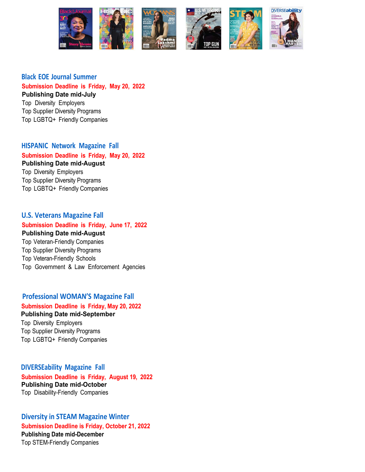

### **Black EOE Journal Summer**

**Submission Deadline is Friday, May 20, 2022 Publishing Date mid-July** 

Top Diversity Employers Top Supplier Diversity Programs Top LGBTQ+ Friendly Companies

**HISPANIC Network Magazine Fall Submission Deadline is Friday, May 20, 2022 Publishing Date mid-August**  Top Diversity Employers

Top Supplier Diversity Programs Top LGBTQ+ Friendly Companies

### **U.S. Veterans Magazine Fall**

### **Submission Deadline is Friday, June 17, 2022 Publishing Date mid-August**  Top Veteran-Friendly Companies Top Supplier Diversity Programs

Top Veteran-Friendly Schools Top Government & Law Enforcement Agencies

### **Professional WOMAN'S Magazine Fall**

### **Submission Deadline is Friday, May 20, 2022 Publishing Date mid-September**

Top Diversity Employers Top Supplier Diversity Programs Top LGBTQ+ Friendly Companies

**DIVERSEability Magazine Fall Submission Deadline is Friday, August 19, 2022 Publishing Date mid-October** Top Disability-Friendly Companies

**Diversity in STEAM Magazine Winter Submission Deadline is Friday, October 21, 2022 Publishing Date mid-December** Top STEM-Friendly Companies